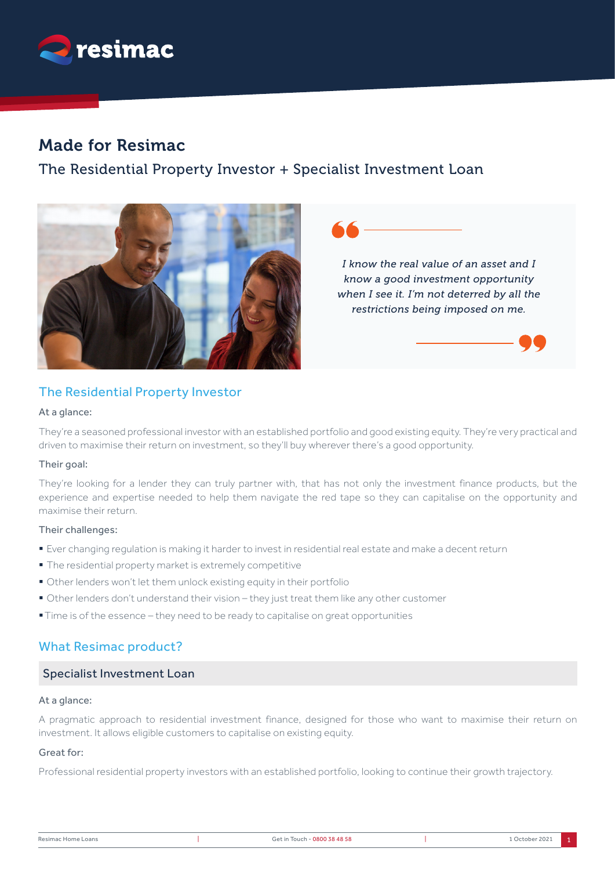

# Made for Resimac

# The Residential Property Investor + Specialist Investment Loan



## The Residential Property Investor

### At a glance:

They're a seasoned professional investor with an established portfolio and good existing equity. They're very practical and driven to maximise their return on investment, so they'll buy wherever there's a good opportunity.

### Their goal:

They're looking for a lender they can truly partner with, that has not only the investment finance products, but the experience and expertise needed to help them navigate the red tape so they can capitalise on the opportunity and maximise their return.

### Their challenges:

- § Ever changing regulation is making it harder to invest in residential real estate and make a decent return
- § The residential property market is extremely competitive
- Other lenders won't let them unlock existing equity in their portfolio
- § Other lenders don't understand their vision they just treat them like any other customer
- Time is of the essence they need to be ready to capitalise on great opportunities

## What Resimac product?

## Specialist Investment Loan

## At a glance:

A pragmatic approach to residential investment finance, designed for those who want to maximise their return on investment. It allows eligible customers to capitalise on existing equity.

### Great for:

Professional residential property investors with an established portfolio, looking to continue their growth trajectory.